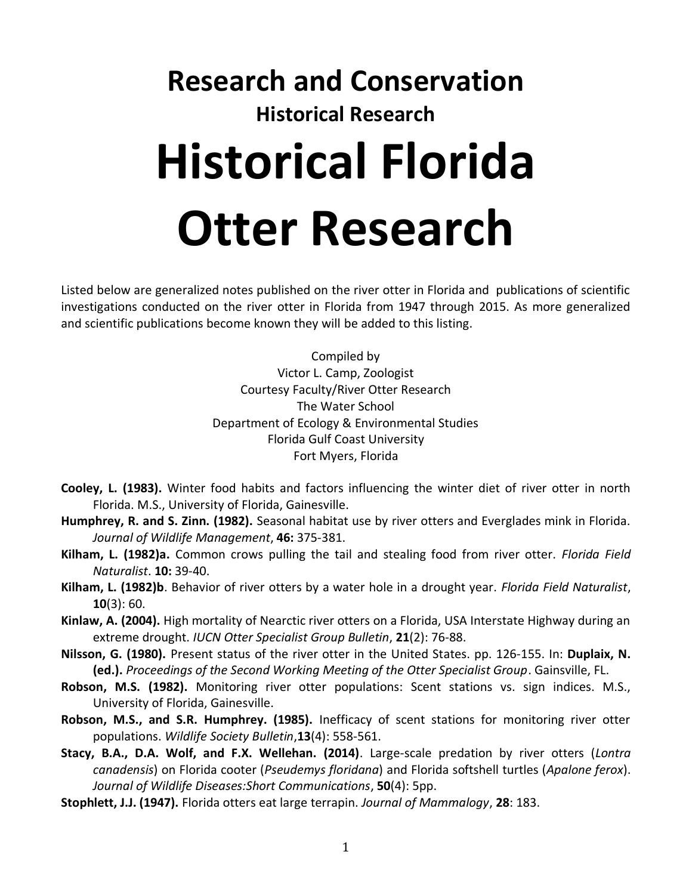## **Research and Conservation Historical Research Historical Florida Otter Research**

Listed below are generalized notes published on the river otter in Florida and publications of scientific investigations conducted on the river otter in Florida from 1947 through 2015. As more generalized and scientific publications become known they will be added to this listing.

> Compiled by Victor L. Camp, Zoologist Courtesy Faculty/River Otter Research The Water School Department of Ecology & Environmental Studies Florida Gulf Coast University Fort Myers, Florida

- **Cooley, L. (1983).** Winter food habits and factors influencing the winter diet of river otter in north Florida. M.S., University of Florida, Gainesville.
- **Humphrey, R. and S. Zinn. (1982).** Seasonal habitat use by river otters and Everglades mink in Florida. *Journal of Wildlife Management*, **46:** 375-381.
- **Kilham, L. (1982)a.** Common crows pulling the tail and stealing food from river otter. *Florida Field Naturalist*. **10:** 39-40.
- **Kilham, L. (1982)b**. Behavior of river otters by a water hole in a drought year. *Florida Field Naturalist*, **10**(3): 60.
- **Kinlaw, A. (2004).** High mortality of Nearctic river otters on a Florida, USA Interstate Highway during an extreme drought. *IUCN Otter Specialist Group Bulletin*, **21**(2): 76-88.
- **Nilsson, G. (1980).** Present status of the river otter in the United States. pp. 126-155. In: **Duplaix, N. (ed.).** *Proceedings of the Second Working Meeting of the Otter Specialist Group*. Gainsville, FL.
- **Robson, M.S. (1982).** Monitoring river otter populations: Scent stations vs. sign indices. M.S., University of Florida, Gainesville.
- **Robson, M.S., and S.R. Humphrey. (1985).** Inefficacy of scent stations for monitoring river otter populations. *Wildlife Society Bulletin*,**13**(4): 558-561.
- **Stacy, B.A., D.A. Wolf, and F.X. Wellehan. (2014)**. Large-scale predation by river otters (*Lontra canadensis*) on Florida cooter (*Pseudemys floridana*) and Florida softshell turtles (*Apalone ferox*). *Journal of Wildlife Diseases:Short Communications*, **50**(4): 5pp.
- **Stophlett, J.J. (1947).** Florida otters eat large terrapin. *Journal of Mammalogy*, **28**: 183.